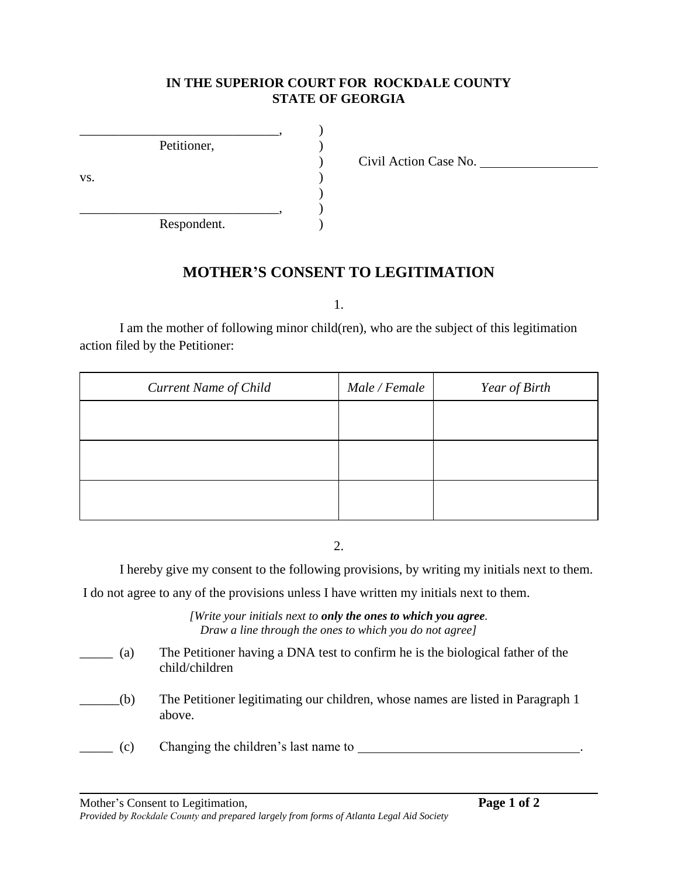## **IN THE SUPERIOR COURT FOR ROCKDALE COUNTY STATE OF GEORGIA**

|     | Petitioner, |  |
|-----|-------------|--|
|     |             |  |
| VS. |             |  |
|     |             |  |
|     |             |  |
|     | Respondent. |  |

) Civil Action Case No.

## **MOTHER'S CONSENT TO LEGITIMATION**

1.

I am the mother of following minor child(ren), who are the subject of this legitimation action filed by the Petitioner:

| <b>Current Name of Child</b> | Male / Female | Year of Birth |
|------------------------------|---------------|---------------|
|                              |               |               |
|                              |               |               |
|                              |               |               |
|                              |               |               |

2.

I hereby give my consent to the following provisions, by writing my initials next to them.

I do not agree to any of the provisions unless I have written my initials next to them.

*[Write your initials next to only the ones to which you agree. Draw a line through the ones to which you do not agree]*

| (a) | The Petitioner having a DNA test to confirm he is the biological father of the<br>child/children |
|-----|--------------------------------------------------------------------------------------------------|
| (b) | The Petitioner legitimating our children, whose names are listed in Paragraph 1<br>above.        |
| (c) | Changing the children's last name to                                                             |